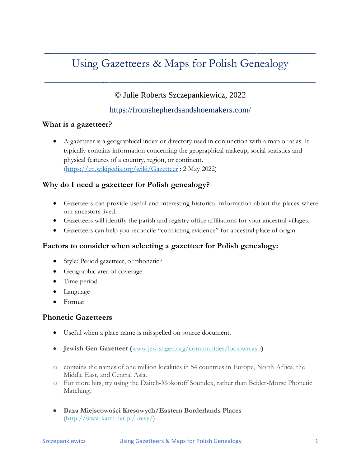# Using Gazetteers & Maps for Polish Genealogy

 $\mathcal{L}_\text{max}$  , and the contract of the contract of the contract of the contract of the contract of the contract of the contract of the contract of the contract of the contract of the contract of the contract of the contr

 $\frac{1}{2}$  , and the set of the set of the set of the set of the set of the set of the set of the set of the set of the set of the set of the set of the set of the set of the set of the set of the set of the set of the set

### © Julie Roberts Szczepankiewicz, 2022

#### <https://fromshepherdsandshoemakers.com/>

#### **What is a gazetteer?**

• A gazetteer is a geographical index or directory used in conjunction with a map or atlas. It typically contains information concerning the geographical makeup, social statistics and physical features of a country, region, or continent. [\(https://en.wikipedia.org/wiki/Gazetteer](https://en.wikipedia.org/wiki/Gazetteer) : 2 May 2022)

#### **Why do I need a gazetteer for Polish genealogy?**

- Gazetteers can provide useful and interesting historical information about the places where our ancestors lived.
- Gazetteers will identify the parish and registry office affiliations for your ancestral villages.
- Gazetteers can help you reconcile "conflicting evidence" for ancestral place of origin.

#### **Factors to consider when selecting a gazetteer for Polish genealogy:**

- Style: Period gazetteer, or phonetic?
- Geographic area of coverage
- Time period
- Language
- Format

#### **Phonetic Gazetteers**

- Useful when a place name is misspelled on source document.
- **Jewish Gen Gazetteer (**[www.jewishgen.org/communities/loctown.asp](http://www.jewishgen.org/communities/loctown.asp)**)**
- o contains the names of one million localities in 54 countries in Europe, North Africa, the Middle East, and Central Asia.
- o For more hits, try using the Daitch-Mokotoff Soundex, rather than Beider-Morse Phonetic Matching.
- **Baza Miejscowości Kresowych/Eastern Borderlands Places** [\(http://www.kami.net.pl/kresy/\)](http://www.kami.net.pl/kresy/):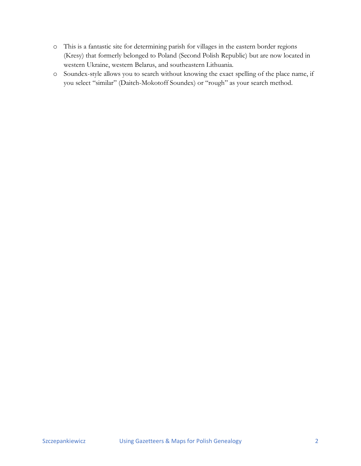- o This is a fantastic site for determining parish for villages in the eastern border regions (Kresy) that formerly belonged to Poland (Second Polish Republic) but are now located in western Ukraine, western Belarus, and southeastern Lithuania.
- o Soundex-style allows you to search without knowing the exact spelling of the place name, if you select "similar" (Daitch-Mokotoff Soundex) or "rough" as your search method.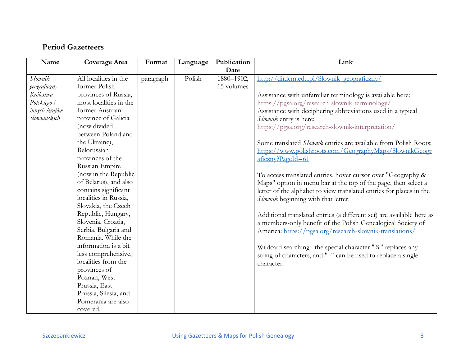## **Period Gazetteers**

| Name                                                                        | Coverage Area                                                                                                                                                                                                                                                                                                                                                                                                       | Format    | Language | Publication              | Link                                                                                                                                                                                                                                                                                                                                                                                                                                                                                                                                                                                           |
|-----------------------------------------------------------------------------|---------------------------------------------------------------------------------------------------------------------------------------------------------------------------------------------------------------------------------------------------------------------------------------------------------------------------------------------------------------------------------------------------------------------|-----------|----------|--------------------------|------------------------------------------------------------------------------------------------------------------------------------------------------------------------------------------------------------------------------------------------------------------------------------------------------------------------------------------------------------------------------------------------------------------------------------------------------------------------------------------------------------------------------------------------------------------------------------------------|
|                                                                             |                                                                                                                                                                                                                                                                                                                                                                                                                     |           |          | Date                     |                                                                                                                                                                                                                                                                                                                                                                                                                                                                                                                                                                                                |
| <b>Słownik</b><br>geograficzny<br>Królestwa<br>Polskiego i<br>innych krajów | All localities in the<br>former Polish<br>provinces of Russia,<br>most localities in the<br>former Austrian                                                                                                                                                                                                                                                                                                         | paragraph | Polish   | 1880-1902,<br>15 volumes | http://dir.icm.edu.pl/Slownik_geograficzny/<br>Assistance with unfamiliar terminology is available here:<br>https://pgsa.org/research-slownik-terminology/<br>Assistance with deciphering abbreviations used in a typical                                                                                                                                                                                                                                                                                                                                                                      |
| słowiańskich                                                                | province of Galicia<br>(now divided<br>between Poland and<br>the Ukraine),<br>Belorussian<br>provinces of the                                                                                                                                                                                                                                                                                                       |           |          |                          | Słownik entry is here:<br>https://pgsa.org/research-slownik-interpretation/<br>Some translated <i>Słownik</i> entries are available from Polish Roots:<br>https://www.polishroots.com/GeographyMaps/SlownikGeogr<br>$a$ ficzny?PageId=61                                                                                                                                                                                                                                                                                                                                                       |
|                                                                             | Russian Empire<br>(now in the Republic<br>of Belarus), and also<br>contains significant<br>localities in Russia,<br>Slovakia, the Czech<br>Republic, Hungary,<br>Slovenia, Croatia,<br>Serbia, Bulgaria and<br>Romania. While the<br>information is a bit<br>less comprehensive,<br>localities from the<br>provinces of<br>Poznan, West<br>Prussia, East<br>Prussia, Silesia, and<br>Pomerania are also<br>covered. |           |          |                          | To access translated entries, hover cursor over "Geography &<br>Maps" option in menu bar at the top of the page, then select a<br>letter of the alphabet to view translated entries for places in the<br>Słownik beginning with that letter.<br>Additional translated entries (a different set) are available here as<br>a members-only benefit of the Polish Genealogical Society of<br>America: https://pgsa.org/research-slownik-translations/<br>Wildcard searching: the special character "%" replaces any<br>string of characters, and "_" can be used to replace a single<br>character. |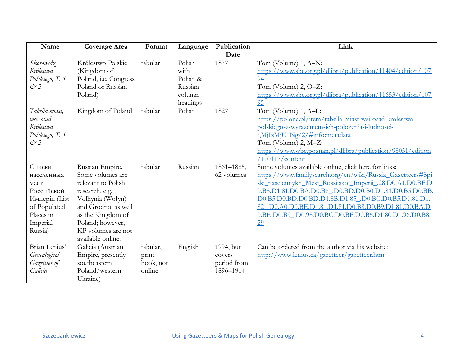| Name                       | <b>Coverage Area</b>  | Format    | Language | Publication | Link                                                        |
|----------------------------|-----------------------|-----------|----------|-------------|-------------------------------------------------------------|
|                            |                       |           |          | Date        |                                                             |
| Skorowidz                  | Królestwo Polskie     | tabular   | Polish   | 1877        | Tom (Volume) 1, A-N:                                        |
| Królestwa                  | (Kingdom of           |           | with     |             | https://www.sbc.org.pl/dlibra/publication/11404/edition/107 |
| Polskiego, T. 1            | Poland, i.e. Congress |           | Polish & |             | 94                                                          |
| $\mathcal{C}$ <sup>2</sup> | Poland or Russian     |           | Russian  |             | Tom (Volume) 2, O-Z:                                        |
|                            | Poland)               |           | column   |             | https://www.sbc.org.pl/dlibra/publication/11653/edition/107 |
|                            |                       |           | headings |             | 95                                                          |
| Tabella miast,             | Kingdom of Poland     | tabular   | Polish   | 1827        | Tom (Volume) 1, A-L:                                        |
| wsi, osad                  |                       |           |          |             | https://polona.pl/item/tabella-miast-wsi-osad-krolestwa-    |
| Królestwa                  |                       |           |          |             | polskiego-z-wyrazeniem-ich-polozenia-i-ludnosci-            |
| Polskiego, T. 1            |                       |           |          |             | t,MjIzMjU1Ng/2/#info:metadata                               |
| $\mathcal{C}$ <sup>2</sup> |                       |           |          |             | Tom (Volume) 2, M-Z:                                        |
|                            |                       |           |          |             | https://www.wbc.poznan.pl/dlibra/publication/98051/edition  |
|                            |                       |           |          |             | $/110117$ /content                                          |
| Списки                     | Russian Empire.       | tabular   | Russian  | 1861-1885,  | Some volumes available online, click here for links:        |
| населенных                 | Some volumes are      |           |          | 62 volumes  | https://www.familysearch.org/en/wiki/Russia Gazetteers#Spi  |
| MecT                       | relevant to Polish    |           |          |             | ski naselennykh Mest Rossiiskoi Imperii .28.D0.A1.D0.BF.D   |
| Российской                 | research, e.g.        |           |          |             | 0.B8.D1.81.D0.BA.D0.B8_,D0.BD.D0.B0.D1.81.D0.B5.D0.BB.      |
| Имперіи (List              | Volhynia (Wołyń)      |           |          |             | D0.B5.D0.BD.D0.BD.D1.8B.D1.85 .D0.BC.D0.B5.D1.81.D1.        |
| of Populated               | and Grodno, as well   |           |          |             | 82.D0.A0.D0.BE.D1.81.D1.81.D0.B8.D0.B9.D1.81.D0.BA.D        |
| Places in                  | as the Kingdom of     |           |          |             | 0.BE.D0.B9 .D0.98.D0.BC.D0.BF.D0.B5.D1.80.D1.96.D0.B8.      |
| Imperial                   | Poland; however,      |           |          |             | $\underline{29}$                                            |
| Russia)                    | KP volumes are not    |           |          |             |                                                             |
|                            | available online.     |           |          |             |                                                             |
| Brian Lenius'              | Galicia (Austrian     | tabular,  | English  | 1994, but   | Can be ordered from the author via his website:             |
| Genealogical               | Empire, presently     | print     |          | covers      | http://www.lenius.ca/gazetteer/gazetteer.htm                |
| Gazetteer of               | southeastern          | book, not |          | period from |                                                             |
| Galicia                    | Poland/western        | online    |          | 1896-1914   |                                                             |
|                            | Ukraine)              |           |          |             |                                                             |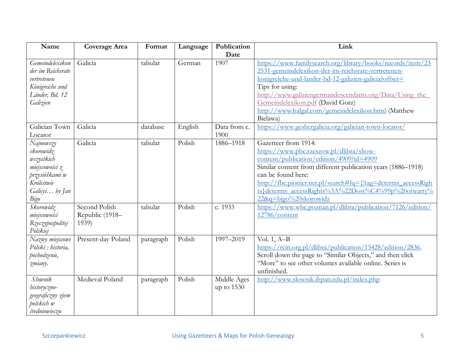| Name                                                                                                                                                              | Coverage Area                                        | Format             | Language         | Publication               | Link                                                                                                                                                                                                                                                                                                                                                                                                                             |
|-------------------------------------------------------------------------------------------------------------------------------------------------------------------|------------------------------------------------------|--------------------|------------------|---------------------------|----------------------------------------------------------------------------------------------------------------------------------------------------------------------------------------------------------------------------------------------------------------------------------------------------------------------------------------------------------------------------------------------------------------------------------|
|                                                                                                                                                                   |                                                      |                    |                  | Date                      |                                                                                                                                                                                                                                                                                                                                                                                                                                  |
| Gemeindelexikon<br>der im Reichsrate<br>vertretenen<br>Königreiche und<br>Länder, Bd. 12<br>Galizien                                                              | Galicia                                              | tabular            | German           | 1907                      | https://www.familysearch.org/library/books/records/item/23<br>2531-gemeindelexikon-der-im-reichsrate-vertretenen-<br>konigreiche-und-lander-bd-12-galizien-galicia?offset=<br>Tips for using:<br>http://www.galiziengermandescendants.org/Data/Using the<br>Gemeindelexikon.pdf (David Gorz)<br>http://www.halgal.com/gemeindelexikon.html (Matthew<br>Bielawa)                                                                  |
| Galician Town<br>Locator                                                                                                                                          | Galicia                                              | database           | English          | Data from c.<br>1900      | https://www.geshergalicia.org/galician-town-locator/                                                                                                                                                                                                                                                                                                                                                                             |
| Najnowszy<br>skorowidz<br>wszystkich<br>miejscowości z<br>przysiółkami w<br>Królestwie<br>Galicyi by Jan<br>Bigo<br>Skorowidz<br>miejscowości<br>Rzeczypospolitej | Galicia<br>Second Polish<br>Republic (1918-<br>1939) | tabular<br>tabular | Polish<br>Polish | 1886-1918<br>c. 1933      | Gazetteer from 1914:<br>https://www.pbc.rzeszow.pl/dlibra/show-<br>content/publication/edition/4909?id=4909<br>Similar content from different publication years (1886-1918)<br>can be found here:<br>http://fbc.pionier.net.pl/search#fq={!tag=dcterms_accessRigh<br>ts}dcterms_accessRights%3A%22Dost%C4%99p%20otwarty%<br>22&q=bigo%20skorowidz<br>https://www.wbc.poznan.pl/dlibra/publication/7126/edition/<br>12786/content |
| Polskiej<br>Nazwy miejscowe<br>Polski : historia,<br>pochodzenie,<br>zmiany.                                                                                      | Present-day Poland                                   | paragraph          | Polish           | 1997-2019                 | Vol. $1, A-B$<br>https://rcin.org.pl/dlibra/publication/15428/edition/2836.<br>Scroll down the page to "Similar Objects," and then click<br>"More" to see other volumes available online. Series is<br>unfinished.                                                                                                                                                                                                               |
| Słownik<br>historyczno-<br>geograficzny ziem<br>polskich w<br>średniowieczu                                                                                       | Medieval Poland                                      | paragraph          | Polish           | Middle Ages<br>up to 1530 | http://www.slownik.ihpan.edu.pl/index.php                                                                                                                                                                                                                                                                                                                                                                                        |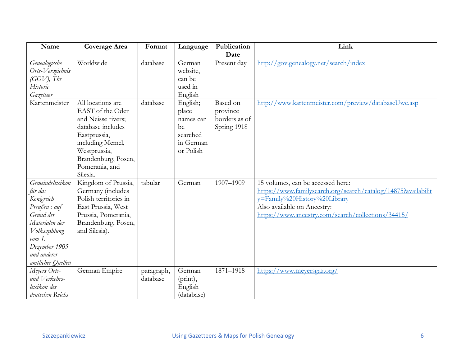| Name              | <b>Coverage Area</b>  | Format     | Language   | Publication   | Link                                                          |
|-------------------|-----------------------|------------|------------|---------------|---------------------------------------------------------------|
|                   |                       |            |            | Date          |                                                               |
| Genealogische     | Worldwide             | database   | German     | Present day   | http://gov.genealogy.net/search/index                         |
| Orts-Verzeichnis  |                       |            | website,   |               |                                                               |
| $(GOV)$ , The     |                       |            | can be     |               |                                                               |
| Historic          |                       |            | used in    |               |                                                               |
| Gazetteer         |                       |            | English    |               |                                                               |
| Kartenmeister     | All locations are     | database   | English;   | Based on      | http://www.kartenmeister.com/preview/databaseUwe.asp          |
|                   | EAST of the Oder      |            | place      | province      |                                                               |
|                   | and Neisse rivers;    |            | names can  | borders as of |                                                               |
|                   | database includes     |            | be         | Spring 1918   |                                                               |
|                   | Eastprussia,          |            | searched   |               |                                                               |
|                   | including Memel,      |            | in German  |               |                                                               |
|                   | Westprussia,          |            | or Polish  |               |                                                               |
|                   | Brandenburg, Posen,   |            |            |               |                                                               |
|                   | Pomerania, and        |            |            |               |                                                               |
|                   | Silesia.              |            |            |               |                                                               |
| Gemeindelexikon   | Kingdom of Prussia,   | tabular    | German     | 1907-1909     | 15 volumes, can be accessed here:                             |
| für das           | Germany (includes     |            |            |               | https://www.familysearch.org/search/catalog/14875?availabilit |
| Königreich        | Polish territories in |            |            |               | y=Family%20History%20Library                                  |
| Preußen : auf     | East Prussia, West    |            |            |               | Also available on Ancestry:                                   |
| Grund der         | Prussia, Pomerania,   |            |            |               | https://www.ancestry.com/search/collections/34415/            |
| Materialen der    | Brandenburg, Posen,   |            |            |               |                                                               |
| Volkszählung      | and Silesia).         |            |            |               |                                                               |
| $vom 1$ .         |                       |            |            |               |                                                               |
| Dezember 1905     |                       |            |            |               |                                                               |
| und anderer       |                       |            |            |               |                                                               |
| amtlicher Quellen |                       |            |            |               |                                                               |
| Meyers Orts-      | German Empire         | paragraph, | German     | 1871-1918     | https://www.meyersgaz.org/                                    |
| und Verkehrs-     |                       | database   | (print),   |               |                                                               |
| lexikon des       |                       |            | English    |               |                                                               |
| deutschen Reichs  |                       |            | (database) |               |                                                               |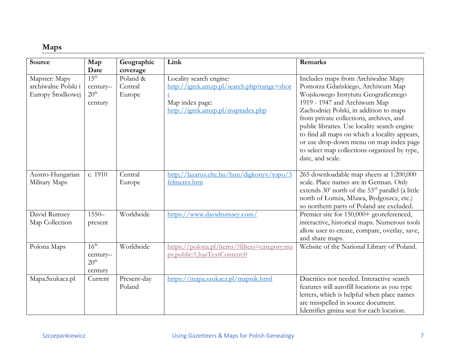## **Maps**

| Source                                                   | Map<br>Date                                                 | Geographic<br>coverage        | Link                                                                                                                          | Remarks                                                                                                                                                                                                                                                                                                                                                                                                                                            |
|----------------------------------------------------------|-------------------------------------------------------------|-------------------------------|-------------------------------------------------------------------------------------------------------------------------------|----------------------------------------------------------------------------------------------------------------------------------------------------------------------------------------------------------------------------------------------------------------------------------------------------------------------------------------------------------------------------------------------------------------------------------------------------|
| Mapster: Mapy<br>archiwalne Polski i<br>Europy Środkowej | $15^{\text{th}}$<br>century-<br>20 <sup>th</sup><br>century | Poland &<br>Central<br>Europe | Locality search engine:<br>http://igrek.amzp.pl/search.php?range=shor<br>Map index page:<br>http://igrek.amzp.pl/mapindex.php | Includes maps from Archiwalne Mapy<br>Pomorza Gdańskiego, Archiwum Map<br>Wojskowego Instytutu Geograficznego<br>1919 - 1947 and Archiwum Map<br>Zachodniej Polski, in addition to maps<br>from private collections, archives, and<br>public libraries. Use locality search engine<br>to find all maps on which a locality appears,<br>or use drop-down menu on map index page<br>to select map collections organized by type,<br>date, and scale. |
| Austro-Hungarian<br>Military Maps                        | c. 1910                                                     | Central<br>Europe             | http://lazarus.elte.hu/hun/digkonyv/topo/3<br>felmeres.htm                                                                    | 265 downloadable map sheets at 1:200,000<br>scale. Place names are in German. Only<br>extends 30' north of the 53 <sup>rd</sup> parallel (a little<br>north of Łomża, Mława, Bydgoszcz, etc.)<br>so northern parts of Poland are excluded.                                                                                                                                                                                                         |
| David Rumsey<br>Map Collection                           | $1550 -$<br>present                                         | Worldwide                     | https://www.davidrumsey.com/                                                                                                  | Premier site for 150,000+ georeferenced,<br>interactive, historical maps. Numerous tools<br>allow user to create, compare, overlay, save,<br>and share maps.                                                                                                                                                                                                                                                                                       |
| Polona Maps                                              | $16^{\text{th}}$<br>century-<br>20 <sup>th</sup><br>century | Worldwide                     | https://polona.pl/items/?filters=category:ma<br>ps,public:1,hasTextContent:0                                                  | Website of the National Library of Poland.                                                                                                                                                                                                                                                                                                                                                                                                         |
| Mapa.Szukacz.pl                                          | Current                                                     | Present-day<br>Poland         | https://mapa.szukacz.pl/mapnik.html                                                                                           | Diacritics not needed. Interactive search<br>features will autofill locations as you type<br>letters, which is helpful when place names<br>are misspelled in source document.<br>Identifies gmina seat for each location.                                                                                                                                                                                                                          |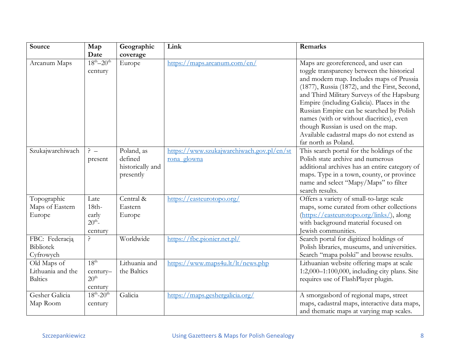| Source                                             | Map<br>Date                                                 | Geographic<br>coverage                                 | Link                                                     | Remarks                                                                                                                                                                                                                                                                                                                                                                                                                                                                       |
|----------------------------------------------------|-------------------------------------------------------------|--------------------------------------------------------|----------------------------------------------------------|-------------------------------------------------------------------------------------------------------------------------------------------------------------------------------------------------------------------------------------------------------------------------------------------------------------------------------------------------------------------------------------------------------------------------------------------------------------------------------|
| Arcanum Maps                                       | $18^{th} - 20^{th}$<br>century                              | Europe                                                 | https://maps.arcanum.com/en/                             | Maps are georeferenced, and user can<br>toggle transparency between the historical<br>and modern map. Includes maps of Prussia<br>(1877), Russia (1872), and the First, Second,<br>and Third Military Surveys of the Hapsburg<br>Empire (including Galicia). Places in the<br>Russian Empire can be searched by Polish<br>names (with or without diacritics), even<br>though Russian is used on the map.<br>Available cadastral maps do not extend as<br>far north as Poland. |
| Szukajwarchiwach                                   | $\frac{5}{1}$ -<br>present                                  | Poland, as<br>defined<br>historically and<br>presently | https://www.szukajwarchiwach.gov.pl/en/st<br>rona glowna | This search portal for the holdings of the<br>Polish state archive and numerous<br>additional archives has an entire category of<br>maps. Type in a town, county, or province<br>name and select "Mapy/Maps" to filter<br>search results.                                                                                                                                                                                                                                     |
| Topographic<br>Maps of Eastern<br>Europe           | Late<br>$18th-$<br>early<br>$20^{th}$ -<br>century          | Central &<br>Eastern<br>Europe                         | https://easteurotopo.org/                                | Offers a variety of small-to-large scale<br>maps, some curated from other collections<br>(https://easteurotopo.org/links/), along<br>with background material focused on<br>Jewish communities.                                                                                                                                                                                                                                                                               |
| FBC: Federacją<br><b>Bibliotek</b><br>Cyfrowych    | ç.                                                          | Worldwide                                              | https://fbc.pionier.net.pl/                              | Search portal for digitized holdings of<br>Polish libraries, museums, and universities.<br>Search "mapa polski" and browse results.                                                                                                                                                                                                                                                                                                                                           |
| Old Maps of<br>Lithuania and the<br><b>Baltics</b> | 18 <sup>th</sup><br>century-<br>20 <sup>th</sup><br>century | Lithuania and<br>the Baltics                           | https://www.maps4u.lt/lt/news.php                        | Lithuanian website offering maps at scale<br>1:2,000-1:100,000, including city plans. Site<br>requires use of FlashPlayer plugin.                                                                                                                                                                                                                                                                                                                                             |
| Gesher Galicia<br>Map Room                         | $18^{th} - 20^{th}$<br>century                              | Galicia                                                | https://maps.geshergalicia.org/                          | A smorgasbord of regional maps, street<br>maps, cadastral maps, interactive data maps,<br>and thematic maps at varying map scales.                                                                                                                                                                                                                                                                                                                                            |